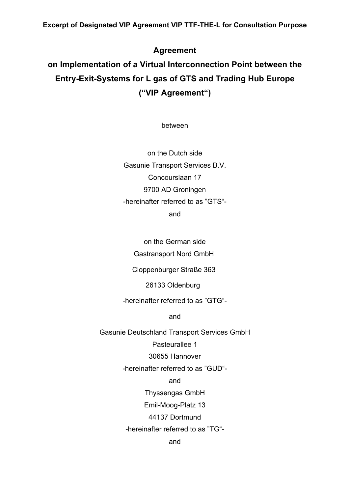# **Agreement**

# **on Implementation of a Virtual Interconnection Point between the Entry-Exit-Systems for L gas of GTS and Trading Hub Europe ("VIP Agreement")**

between

on the Dutch side Gasunie Transport Services B.V. Concourslaan 17 9700 AD Groningen -hereinafter referred to as "GTS"-

and

on the German side

Gastransport Nord GmbH

Cloppenburger Straße 363

26133 Oldenburg

-hereinafter referred to as "GTG"-

and

Gasunie Deutschland Transport Services GmbH

Pasteurallee 1

30655 Hannover

-hereinafter referred to as "GUD"-

and

Thyssengas GmbH

Emil-Moog-Platz 13

44137 Dortmund

-hereinafter referred to as "TG"-

and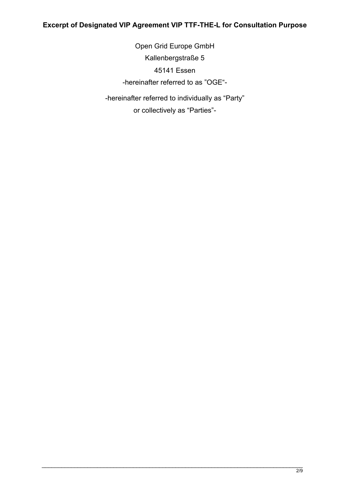Open Grid Europe GmbH Kallenbergstraße 5 45141 Essen -hereinafter referred to as "OGE"- -hereinafter referred to individually as "Party"

or collectively as "Parties"-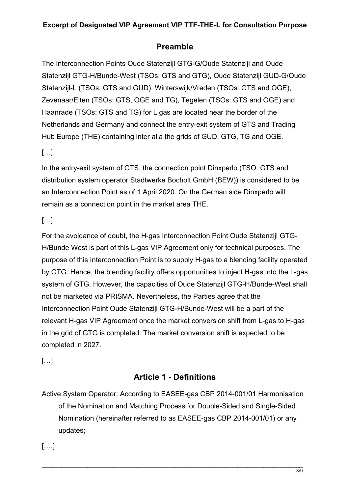# **Preamble**

The Interconnection Points Oude Statenzijl GTG-G/Oude Statenzijl and Oude Statenzijl GTG-H/Bunde-West (TSOs: GTS and GTG), Oude Statenzijl GUD-G/Oude Statenzijl-L (TSOs: GTS and GUD), Winterswijk/Vreden (TSOs: GTS and OGE), Zevenaar/Elten (TSOs: GTS, OGE and TG), Tegelen (TSOs: GTS and OGE) and Haanrade (TSOs: GTS and TG) for L gas are located near the border of the Netherlands and Germany and connect the entry-exit system of GTS and Trading Hub Europe (THE) containing inter alia the grids of GUD, GTG, TG and OGE.

## […]

In the entry-exit system of GTS, the connection point Dinxperlo (TSO: GTS and distribution system operator Stadtwerke Bocholt GmbH (BEW)) is considered to be an Interconnection Point as of 1 April 2020. On the German side Dinxperlo will remain as a connection point in the market area THE.

# […]

For the avoidance of doubt, the H-gas Interconnection Point Oude Statenzijl GTG-H/Bunde West is part of this L-gas VIP Agreement only for technical purposes. The purpose of this Interconnection Point is to supply H-gas to a blending facility operated by GTG. Hence, the blending facility offers opportunities to inject H-gas into the L-gas system of GTG. However, the capacities of Oude Statenzijl GTG-H/Bunde-West shall not be marketed via PRISMA. Nevertheless, the Parties agree that the Interconnection Point Oude Statenzijl GTG-H/Bunde-West will be a part of the relevant H-gas VIP Agreement once the market conversion shift from L-gas to H-gas in the grid of GTG is completed. The market conversion shift is expected to be completed in 2027.

[…]

# **Article 1 - Definitions**

Active System Operator: According to EASEE-gas CBP 2014-001/01 Harmonisation of the Nomination and Matching Process for Double-Sided and Single-Sided Nomination (hereinafter referred to as EASEE-gas CBP 2014-001/01) or any updates;

[….]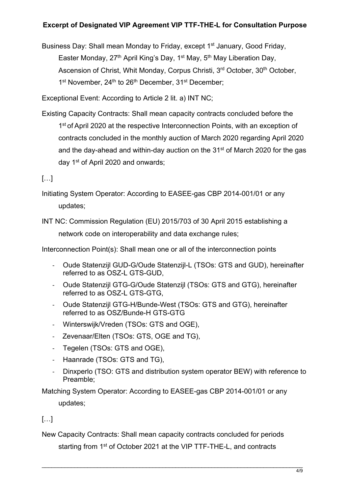Business Day: Shall mean Monday to Friday, except 1<sup>st</sup> January, Good Friday, Easter Monday,  $27<sup>th</sup>$  April King's Day,  $1<sup>st</sup>$  May,  $5<sup>th</sup>$  May Liberation Day, Ascension of Christ, Whit Monday, Corpus Christi, 3<sup>rd</sup> October, 30<sup>th</sup> October, 1<sup>st</sup> November, 24<sup>th</sup> to 26<sup>th</sup> December, 31<sup>st</sup> December;

Exceptional Event: According to Article 2 lit. a) INT NC;

Existing Capacity Contracts: Shall mean capacity contracts concluded before the 1<sup>st</sup> of April 2020 at the respective Interconnection Points, with an exception of contracts concluded in the monthly auction of March 2020 regarding April 2020 and the day-ahead and within-day auction on the 31<sup>st</sup> of March 2020 for the gas day 1st of April 2020 and onwards;

## […]

- Initiating System Operator: According to EASEE-gas CBP 2014-001/01 or any updates;
- INT NC: Commission Regulation (EU) 2015/703 of 30 April 2015 establishing a network code on interoperability and data exchange rules;

Interconnection Point(s): Shall mean one or all of the interconnection points

- Oude Statenzijl GUD-G/Oude Statenzijl-L (TSOs: GTS and GUD), hereinafter referred to as OSZ-L GTS-GUD,
- Oude Statenzijl GTG-G/Oude Statenzijl (TSOs: GTS and GTG), hereinafter referred to as OSZ-L GTS-GTG,
- Oude Statenzijl GTG-H/Bunde-West (TSOs: GTS and GTG), hereinafter referred to as OSZ/Bunde-H GTS-GTG
- Winterswijk/Vreden (TSOs: GTS and OGE),
- Zevenaar/Elten (TSOs: GTS, OGE and TG),
- Tegelen (TSOs: GTS and OGE),
- Haanrade (TSOs: GTS and TG),
- Dinxperlo (TSO: GTS and distribution system operator BEW) with reference to Preamble;

Matching System Operator: According to EASEE-gas CBP 2014-001/01 or any updates;

## […]

New Capacity Contracts: Shall mean capacity contracts concluded for periods

starting from 1<sup>st</sup> of October 2021 at the VIP TTF-THE-L, and contracts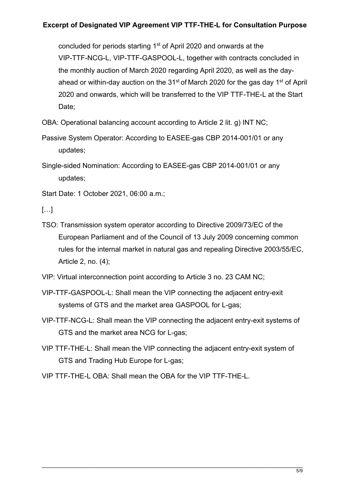concluded for periods starting 1<sup>st</sup> of April 2020 and onwards at the VIP-TTF-NCG-L, VIP-TTF-GASPOOL-L, together with contracts concluded in the monthly auction of March 2020 regarding April 2020, as well as the dayahead or within-day auction on the  $31<sup>st</sup>$  of March 2020 for the gas day  $1<sup>st</sup>$  of April 2020 and onwards, which will be transferred to the VIP TTF-THE-L at the Start Date;

OBA: Operational balancing account according to Article 2 lit. g) INT NC;

Passive System Operator: According to EASEE-gas CBP 2014-001/01 or any updates;

Single-sided Nomination: According to EASEE-gas CBP 2014-001/01 or any updates;

Start Date: 1 October 2021, 06:00 a.m.;

 $[\ldots]$ 

TSO: Transmission system operator according to Directive 2009/73/EC of the European Parliament and of the Council of 13 July 2009 concerning common rules for the internal market in natural gas and repealing Directive 2003/55/EC, Article 2, no. (4);

VIP: Virtual interconnection point according to Article 3 no. 23 CAM NC;

- VIP-TTF-GASPOOL-L: Shall mean the VIP connecting the adjacent entry-exit systems of GTS and the market area GASPOOL for L-gas;
- VIP-TTF-NCG-L: Shall mean the VIP connecting the adjacent entry-exit systems of GTS and the market area NCG for L-gas;
- VIP TTF-THE-L: Shall mean the VIP connecting the adjacent entry-exit system of GTS and Trading Hub Europe for L-gas;

VIP TTF-THE-L OBA: Shall mean the OBA for the VIP TTF-THE-L.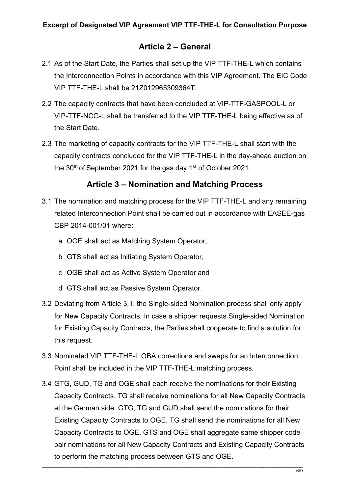# **Article 2 – General**

- 2.1 As of the Start Date, the Parties shall set up the VIP TTF-THE-L which contains the Interconnection Points in accordance with this VIP Agreement. The EIC Code VIP TTF-THE-L shall be 21Z012965309364T.
- 2.2 The capacity contracts that have been concluded at VIP-TTF-GASPOOL-L or VIP-TTF-NCG-L shall be transferred to the VIP TTF-THE-L being effective as of the Start Date.
- 2.3 The marketing of capacity contracts for the VIP TTF-THE-L shall start with the capacity contracts concluded for the VIP TTF-THE-L in the day-ahead auction on the  $30<sup>th</sup>$  of September 2021 for the gas day 1<sup>st</sup> of October 2021.

## **Article 3 – Nomination and Matching Process**

- 3.1 The nomination and matching process for the VIP TTF-THE-L and any remaining related Interconnection Point shall be carried out in accordance with EASEE-gas CBP 2014-001/01 where:
	- a OGE shall act as Matching System Operator,
	- b GTS shall act as Initiating System Operator,
	- c OGE shall act as Active System Operator and
	- d GTS shall act as Passive System Operator.
- 3.2 Deviating from Article 3.1, the Single-sided Nomination process shall only apply for New Capacity Contracts. In case a shipper requests Single-sided Nomination for Existing Capacity Contracts, the Parties shall cooperate to find a solution for this request.
- 3.3 Nominated VIP TTF-THE-L OBA corrections and swaps for an Interconnection Point shall be included in the VIP TTF-THE-L matching process.
- 3.4 GTG, GUD, TG and OGE shall each receive the nominations for their Existing Capacity Contracts. TG shall receive nominations for all New Capacity Contracts at the German side. GTG, TG and GUD shall send the nominations for their Existing Capacity Contracts to OGE. TG shall send the nominations for all New Capacity Contracts to OGE. GTS and OGE shall aggregate same shipper code pair nominations for all New Capacity Contracts and Existing Capacity Contracts to perform the matching process between GTS and OGE.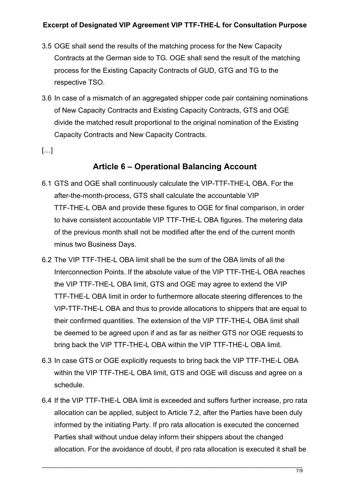- 3.5 OGE shall send the results of the matching process for the New Capacity Contracts at the German side to TG. OGE shall send the result of the matching process for the Existing Capacity Contracts of GUD, GTG and TG to the respective TSO.
- 3.6 In case of a mismatch of an aggregated shipper code pair containing nominations of New Capacity Contracts and Existing Capacity Contracts, GTS and OGE divide the matched result proportional to the original nomination of the Existing Capacity Contracts and New Capacity Contracts.
- […]

# **Article 6 – Operational Balancing Account**

- 6.1 GTS and OGE shall continuously calculate the VIP-TTF-THE-L OBA. For the after-the-month-process, GTS shall calculate the accountable VIP TTF-THE-L OBA and provide these figures to OGE for final comparison, in order to have consistent accountable VIP TTF-THE-L OBA figures. The metering data of the previous month shall not be modified after the end of the current month minus two Business Days.
- 6.2 The VIP TTF-THE-L OBA limit shall be the sum of the OBA limits of all the Interconnection Points. If the absolute value of the VIP TTF-THE-L OBA reaches the VIP TTF-THE-L OBA limit, GTS and OGE may agree to extend the VIP TTF-THE-L OBA limit in order to furthermore allocate steering differences to the VIP-TTF-THE-L OBA and thus to provide allocations to shippers that are equal to their confirmed quantities. The extension of the VIP TTF-THE-L OBA limit shall be deemed to be agreed upon if and as far as neither GTS nor OGE requests to bring back the VIP TTF-THE-L OBA within the VIP TTF-THE-L OBA limit.
- 6.3 In case GTS or OGE explicitly requests to bring back the VIP TTF-THE-L OBA within the VIP TTF-THE-L OBA limit, GTS and OGE will discuss and agree on a schedule.
- 6.4 If the VIP TTF-THE-L OBA limit is exceeded and suffers further increase, pro rata allocation can be applied, subject to Article 7.2, after the Parties have been duly informed by the initiating Party. If pro rata allocation is executed the concerned Parties shall without undue delay inform their shippers about the changed allocation. For the avoidance of doubt, if pro rata allocation is executed it shall be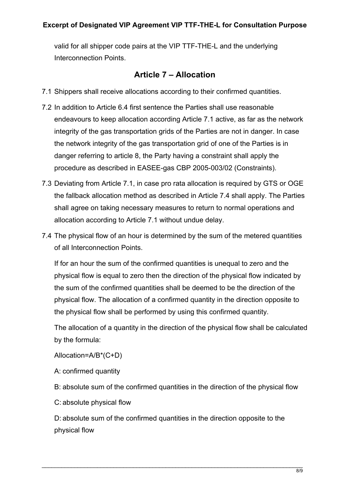valid for all shipper code pairs at the VIP TTF-THE-L and the underlying Interconnection Points.

## **Article 7 – Allocation**

- 7.1 Shippers shall receive allocations according to their confirmed quantities.
- 7.2 In addition to Article 6.4 first sentence the Parties shall use reasonable endeavours to keep allocation according Article 7.1 active, as far as the network integrity of the gas transportation grids of the Parties are not in danger. In case the network integrity of the gas transportation grid of one of the Parties is in danger referring to article 8, the Party having a constraint shall apply the procedure as described in EASEE-gas CBP 2005-003/02 (Constraints).
- 7.3 Deviating from Article 7.1, in case pro rata allocation is required by GTS or OGE the fallback allocation method as described in Article 7.4 shall apply. The Parties shall agree on taking necessary measures to return to normal operations and allocation according to Article 7.1 without undue delay.
- 7.4 The physical flow of an hour is determined by the sum of the metered quantities of all Interconnection Points.

If for an hour the sum of the confirmed quantities is unequal to zero and the physical flow is equal to zero then the direction of the physical flow indicated by the sum of the confirmed quantities shall be deemed to be the direction of the physical flow. The allocation of a confirmed quantity in the direction opposite to the physical flow shall be performed by using this confirmed quantity.

The allocation of a quantity in the direction of the physical flow shall be calculated by the formula:

Allocation=A/B\*(C+D)

A: confirmed quantity

B: absolute sum of the confirmed quantities in the direction of the physical flow

C: absolute physical flow

D: absolute sum of the confirmed quantities in the direction opposite to the physical flow